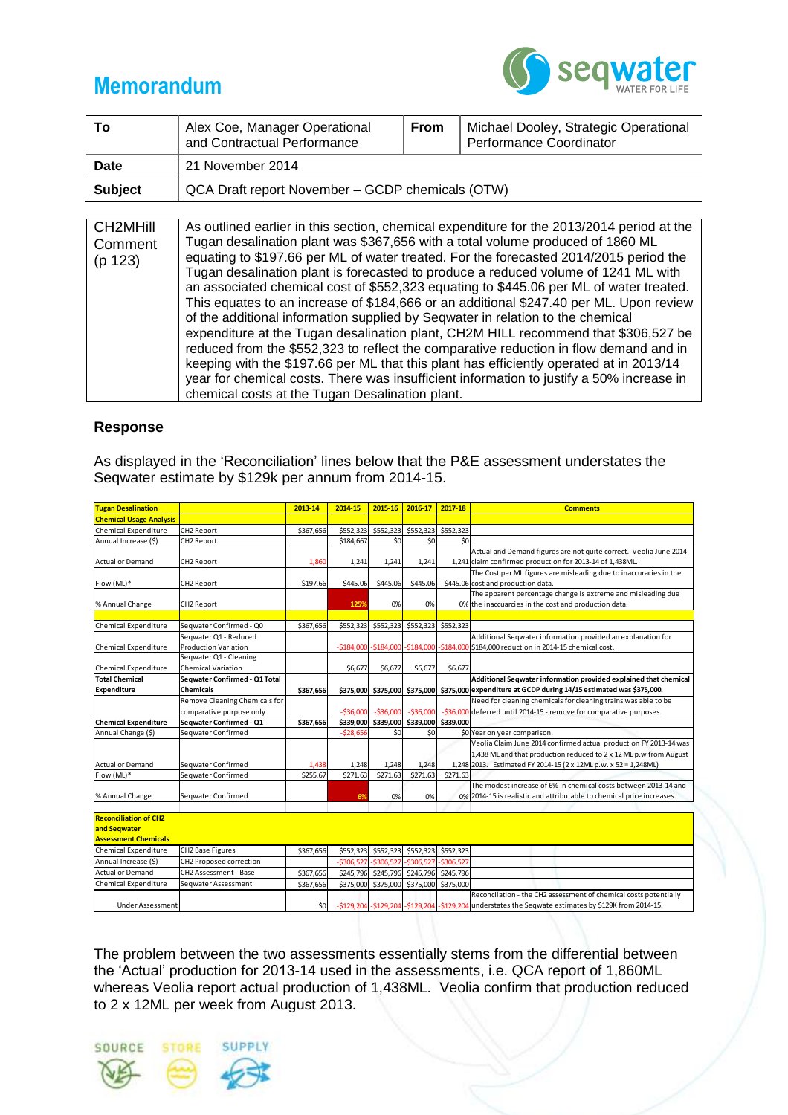## **Memorandum**



| Τo                             | Alex Coe, Manager Operational<br>and Contractual Performance                                                                                                                                                                                                                                                                                                                                                                                         | <b>From</b> | Michael Dooley, Strategic Operational<br>Performance Coordinator |  |  |  |  |  |
|--------------------------------|------------------------------------------------------------------------------------------------------------------------------------------------------------------------------------------------------------------------------------------------------------------------------------------------------------------------------------------------------------------------------------------------------------------------------------------------------|-------------|------------------------------------------------------------------|--|--|--|--|--|
| Date                           | 21 November 2014                                                                                                                                                                                                                                                                                                                                                                                                                                     |             |                                                                  |  |  |  |  |  |
| <b>Subject</b>                 | QCA Draft report November – GCDP chemicals (OTW)                                                                                                                                                                                                                                                                                                                                                                                                     |             |                                                                  |  |  |  |  |  |
|                                |                                                                                                                                                                                                                                                                                                                                                                                                                                                      |             |                                                                  |  |  |  |  |  |
| CH2MHill<br>Comment<br>(p 123) | As outlined earlier in this section, chemical expenditure for the 2013/2014 period at the<br>Tugan desalination plant was \$367,656 with a total volume produced of 1860 ML<br>equating to \$197.66 per ML of water treated. For the forecasted 2014/2015 period the<br>Tugan desalination plant is forecasted to produce a reduced volume of 1241 ML with<br>an associated chemical cost of \$552,323 equating to \$445.06 per ML of water treated. |             |                                                                  |  |  |  |  |  |

This equates to an increase of \$184,666 or an additional \$247.40 per ML. Upon review of the additional information supplied by Seqwater in relation to the chemical expenditure at the Tugan desalination plant, CH2M HILL recommend that \$306,527 be reduced from the \$552,323 to reflect the comparative reduction in flow demand and in keeping with the \$197.66 per ML that this plant has efficiently operated at in 2013/14 year for chemical costs. There was insufficient information to justify a 50% increase in chemical costs at the Tugan Desalination plant.

## **Response**

As displayed in the 'Reconciliation' lines below that the P&E assessment understates the Seqwater estimate by \$129k per annum from 2014-15.

| <b>Tugan Desalination</b>      |                               | 2013-14   | 2014-15    | 2015-16                                 | 2016-17             | 2017-18   | <b>Comments</b>                                                                                   |
|--------------------------------|-------------------------------|-----------|------------|-----------------------------------------|---------------------|-----------|---------------------------------------------------------------------------------------------------|
| <b>Chemical Usage Analysis</b> |                               |           |            |                                         |                     |           |                                                                                                   |
| Chemical Expenditure           | CH2 Report                    | \$367.656 | \$552,323  | \$552,323                               | \$552,323           | \$552.323 |                                                                                                   |
| Annual Increase (\$)           | CH2 Report                    |           | \$184,667  | \$0                                     | \$0                 | \$0       |                                                                                                   |
|                                |                               |           |            |                                         |                     |           | Actual and Demand figures are not quite correct. Veolia June 2014                                 |
| <b>Actual or Demand</b>        | <b>CH2 Report</b>             | 1.860     | 1,241      | 1,241                                   | 1,241               |           | 1,241 claim confirmed production for 2013-14 of 1,438ML.                                          |
|                                |                               |           |            |                                         |                     |           | The Cost per ML figures are misleading due to inaccuracies in the                                 |
| Flow (ML)*                     | <b>CH2 Report</b>             | \$197.66  | \$445.06   | \$445.06                                | \$445.06            |           | \$445.06 cost and production data.                                                                |
|                                |                               |           |            |                                         |                     |           | The apparent percentage change is extreme and misleading due                                      |
| % Annual Change                | <b>CH2 Report</b>             |           | 1259       | 0%                                      | 0%                  |           | 0% the inaccuarcies in the cost and production data.                                              |
|                                |                               |           |            |                                         |                     |           |                                                                                                   |
| <b>Chemical Expenditure</b>    | Segwater Confirmed - Q0       | \$367,656 | \$552,323  |                                         | \$552,323 \$552,323 | \$552.323 |                                                                                                   |
|                                | Segwater Q1 - Reduced         |           |            |                                         |                     |           | Additional Segwater information provided an explanation for                                       |
| Chemical Expenditure           | <b>Production Variation</b>   |           |            |                                         |                     |           | -\$184,000 -\$184,000 -\$184,000 -\$184,000 \$184,000 reduction in 2014-15 chemical cost.         |
|                                | Segwater Q1 - Cleaning        |           |            |                                         |                     |           |                                                                                                   |
| Chemical Expenditure           | <b>Chemical Variation</b>     |           | \$6,677    | \$6,677                                 | \$6,677             | \$6,677   |                                                                                                   |
| <b>Total Chemical</b>          | Segwater Confirmed - Q1 Total |           |            |                                         |                     |           | Additional Seqwater information provided explained that chemical                                  |
| <b>Expenditure</b>             | <b>Chemicals</b>              | \$367,656 |            |                                         |                     |           | \$375,000 \$375,000 \$375,000 \$375,000 expenditure at GCDP during 14/15 estimated was \$375,000. |
|                                | Remove Cleaning Chemicals for |           |            |                                         |                     |           | Need for cleaning chemicals for cleaning trains was able to be                                    |
|                                | comparative purpose only      |           | $-536,000$ | $-536,000$                              | $-536,000$          |           | -\$36,000 deferred until 2014-15 - remove for comparative purposes.                               |
| <b>Chemical Expenditure</b>    | Seqwater Confirmed - Q1       | \$367,656 |            | \$339,000 \$339,000 \$339,000 \$339,000 |                     |           |                                                                                                   |
| Annual Change (\$)             | Segwater Confirmed            |           | $-528,656$ | \$0                                     | \$0                 |           | \$0 Year on year comparison.                                                                      |
|                                |                               |           |            |                                         |                     |           | Veolia Claim June 2014 confirmed actual production FY 2013-14 was                                 |
|                                |                               |           |            |                                         |                     |           | 1,438 ML and that production reduced to 2 x 12 ML p.w from August                                 |
| <b>Actual or Demand</b>        | Segwater Confirmed            | 1,438     | 1,248      | 1,248                                   | 1,248               |           | 1,248 2013. Estimated FY 2014-15 (2 x 12ML p.w. x 52 = 1,248ML)                                   |
| Flow (ML)*                     | Segwater Confirmed            | \$255.67  | \$271.63   | \$271.63                                | \$271.63            | \$271.63  |                                                                                                   |
|                                |                               |           |            |                                         |                     |           | The modest increase of 6% in chemical costs between 2013-14 and                                   |
| % Annual Change                | Seqwater Confirmed            |           | 6%         | 0%                                      | 0%                  |           | 0% 2014-15 is realistic and attributable to chemical price increases.                             |
|                                |                               |           |            |                                         |                     |           |                                                                                                   |
| <b>Reconciliation of CH2</b>   |                               |           |            |                                         |                     |           |                                                                                                   |
| and Seqwater                   |                               |           |            |                                         |                     |           |                                                                                                   |

| and Seqwater                |                         |           |  |                                                         |                                                                                                       |
|-----------------------------|-------------------------|-----------|--|---------------------------------------------------------|-------------------------------------------------------------------------------------------------------|
| <b>Assessment Chemicals</b> |                         |           |  |                                                         |                                                                                                       |
| Chemical Expenditure        | CH2 Base Figures        | \$367,656 |  | \$552,323 \$552,323 \$552,323 \$552,323                 |                                                                                                       |
| Annual Increase (\$)        | CH2 Proposed correction |           |  | $-$ \$306,527 $-$ \$306,527 $-$ \$306,527 $-$ \$306,527 |                                                                                                       |
| <b>Actual or Demand</b>     | CH2 Assessment - Base   | \$367,656 |  | \$245,796 \$245,796 \$245,796 \$245,796                 |                                                                                                       |
| Chemical Expenditure        | Segwater Assessment     | \$367,656 |  | \$375,000 \$375,000 \$375,000 \$375,000                 |                                                                                                       |
|                             |                         |           |  |                                                         | Reconcilation - the CH2 assessment of chemical costs potentially                                      |
| Under Assessment            |                         | \$0       |  |                                                         | -\$129,204 -\$129,204 -\$129,204 -\$129,204 understates the Seqwate estimates by \$129K from 2014-15. |

The problem between the two assessments essentially stems from the differential between the 'Actual' production for 2013-14 used in the assessments, i.e. QCA report of 1,860ML whereas Veolia report actual production of 1,438ML. Veolia confirm that production reduced to 2 x 12ML per week from August 2013.